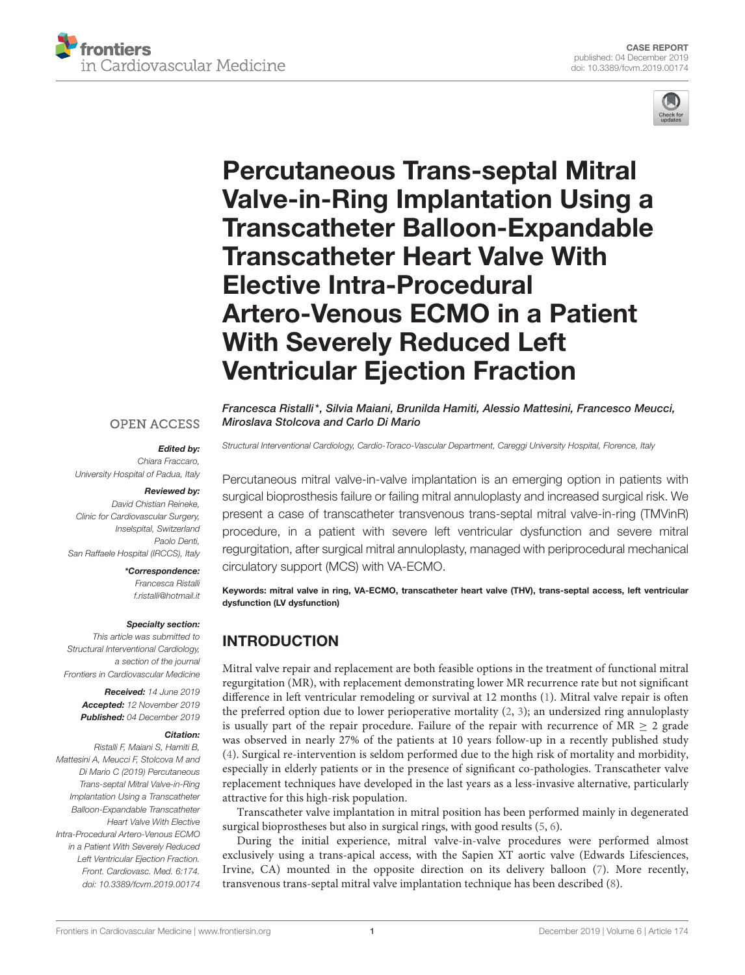



# Percutaneous Trans-septal Mitral Valve-in-Ring Implantation Using a [Transcatheter Balloon-Expandable](https://www.frontiersin.org/articles/10.3389/fcvm.2019.00174/full) Transcatheter Heart Valve With Elective Intra-Procedural Artero-Venous ECMO in a Patient With Severely Reduced Left Ventricular Ejection Fraction

[Francesca Ristalli\\*](http://loop.frontiersin.org/people/755198/overview), Silvia Maiani, [Brunilda Hamiti,](http://loop.frontiersin.org/people/765994/overview) Alessio Mattesini, Francesco Meucci, Miroslava Stolcova and Carlo Di Mario

*Structural Interventional Cardiology, Cardio-Toraco-Vascular Department, Careggi University Hospital, Florence, Italy*

# **OPEN ACCESS**

#### Edited by: *Chiara Fraccaro,*

*University Hospital of Padua, Italy*

### Reviewed by:

*David Chistian Reineke, Clinic for Cardiovascular Surgery, Inselspital, Switzerland Paolo Denti, San Raffaele Hospital (IRCCS), Italy*

### \*Correspondence: *Francesca Ristalli*

*[f.ristalli@hotmail.it](mailto:f.ristalli@hotmail.it)*

### Specialty section:

*This article was submitted to Structural Interventional Cardiology, a section of the journal Frontiers in Cardiovascular Medicine*

> Received: *14 June 2019* Accepted: *12 November 2019* Published: *04 December 2019*

### Citation:

*Ristalli F, Maiani S, Hamiti B, Mattesini A, Meucci F, Stolcova M and Di Mario C (2019) Percutaneous Trans-septal Mitral Valve-in-Ring Implantation Using a Transcatheter Balloon-Expandable Transcatheter Heart Valve With Elective Intra-Procedural Artero-Venous ECMO in a Patient With Severely Reduced Left Ventricular Ejection Fraction. Front. Cardiovasc. Med. 6:174. doi: [10.3389/fcvm.2019.00174](https://doi.org/10.3389/fcvm.2019.00174)*

Percutaneous mitral valve-in-valve implantation is an emerging option in patients with surgical bioprosthesis failure or failing mitral annuloplasty and increased surgical risk. We present a case of transcatheter transvenous trans-septal mitral valve-in-ring (TMVinR) procedure, in a patient with severe left ventricular dysfunction and severe mitral regurgitation, after surgical mitral annuloplasty, managed with periprocedural mechanical circulatory support (MCS) with VA-ECMO.

Keywords: mitral valve in ring, VA-ECMO, transcatheter heart valve (THV), trans-septal access, left ventricular dysfunction (LV dysfunction)

# INTRODUCTION

Mitral valve repair and replacement are both feasible options in the treatment of functional mitral regurgitation (MR), with replacement demonstrating lower MR recurrence rate but not significant difference in left ventricular remodeling or survival at 12 months [\(1\)](#page-4-0). Mitral valve repair is often the preferred option due to lower perioperative mortality [\(2,](#page-4-1) [3\)](#page-4-2); an undersized ring annuloplasty is usually part of the repair procedure. Failure of the repair with recurrence of  $MR \geq 2$  grade was observed in nearly 27% of the patients at 10 years follow-up in a recently published study [\(4\)](#page-4-3). Surgical re-intervention is seldom performed due to the high risk of mortality and morbidity, especially in elderly patients or in the presence of significant co-pathologies. Transcatheter valve replacement techniques have developed in the last years as a less-invasive alternative, particularly attractive for this high-risk population.

Transcatheter valve implantation in mitral position has been performed mainly in degenerated surgical bioprostheses but also in surgical rings, with good results [\(5,](#page-4-4) [6\)](#page-4-5).

During the initial experience, mitral valve-in-valve procedures were performed almost exclusively using a trans-apical access, with the Sapien XT aortic valve (Edwards Lifesciences, Irvine, CA) mounted in the opposite direction on its delivery balloon [\(7\)](#page-4-6). More recently, transvenous trans-septal mitral valve implantation technique has been described [\(8\)](#page-4-7).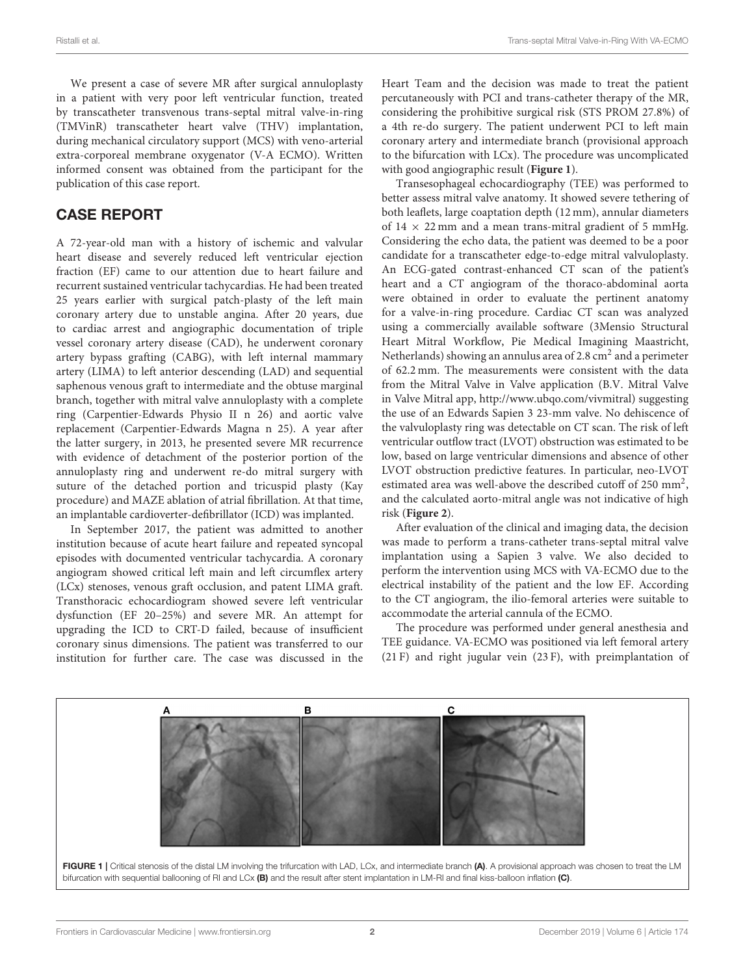We present a case of severe MR after surgical annuloplasty in a patient with very poor left ventricular function, treated by transcatheter transvenous trans-septal mitral valve-in-ring (TMVinR) transcatheter heart valve (THV) implantation, during mechanical circulatory support (MCS) with veno-arterial extra-corporeal membrane oxygenator (V-A ECMO). Written informed consent was obtained from the participant for the publication of this case report.

# CASE REPORT

A 72-year-old man with a history of ischemic and valvular heart disease and severely reduced left ventricular ejection fraction (EF) came to our attention due to heart failure and recurrent sustained ventricular tachycardias. He had been treated 25 years earlier with surgical patch-plasty of the left main coronary artery due to unstable angina. After 20 years, due to cardiac arrest and angiographic documentation of triple vessel coronary artery disease (CAD), he underwent coronary artery bypass grafting (CABG), with left internal mammary artery (LIMA) to left anterior descending (LAD) and sequential saphenous venous graft to intermediate and the obtuse marginal branch, together with mitral valve annuloplasty with a complete ring (Carpentier-Edwards Physio II n 26) and aortic valve replacement (Carpentier-Edwards Magna n 25). A year after the latter surgery, in 2013, he presented severe MR recurrence with evidence of detachment of the posterior portion of the annuloplasty ring and underwent re-do mitral surgery with suture of the detached portion and tricuspid plasty (Kay procedure) and MAZE ablation of atrial fibrillation. At that time, an implantable cardioverter-defibrillator (ICD) was implanted.

In September 2017, the patient was admitted to another institution because of acute heart failure and repeated syncopal episodes with documented ventricular tachycardia. A coronary angiogram showed critical left main and left circumflex artery (LCx) stenoses, venous graft occlusion, and patent LIMA graft. Transthoracic echocardiogram showed severe left ventricular dysfunction (EF 20–25%) and severe MR. An attempt for upgrading the ICD to CRT-D failed, because of insufficient coronary sinus dimensions. The patient was transferred to our institution for further care. The case was discussed in the Heart Team and the decision was made to treat the patient percutaneously with PCI and trans-catheter therapy of the MR, considering the prohibitive surgical risk (STS PROM 27.8%) of a 4th re-do surgery. The patient underwent PCI to left main coronary artery and intermediate branch (provisional approach to the bifurcation with LCx). The procedure was uncomplicated with good angiographic result (**[Figure 1](#page-1-0)**).

Transesophageal echocardiography (TEE) was performed to better assess mitral valve anatomy. It showed severe tethering of both leaflets, large coaptation depth (12 mm), annular diameters of  $14 \times 22$  mm and a mean trans-mitral gradient of 5 mmHg. Considering the echo data, the patient was deemed to be a poor candidate for a transcatheter edge-to-edge mitral valvuloplasty. An ECG-gated contrast-enhanced CT scan of the patient's heart and a CT angiogram of the thoraco-abdominal aorta were obtained in order to evaluate the pertinent anatomy for a valve-in-ring procedure. Cardiac CT scan was analyzed using a commercially available software (3Mensio Structural Heart Mitral Workflow, Pie Medical Imagining Maastricht, Netherlands) showing an annulus area of 2.8  $\text{cm}^2$  and a perimeter of 62.2 mm. The measurements were consistent with the data from the Mitral Valve in Valve application (B.V. Mitral Valve in Valve Mitral app, [http://www.ubqo.com/vivmitral\)](http://www.ubqo.com/vivmitral) suggesting the use of an Edwards Sapien 3 23-mm valve. No dehiscence of the valvuloplasty ring was detectable on CT scan. The risk of left ventricular outflow tract (LVOT) obstruction was estimated to be low, based on large ventricular dimensions and absence of other LVOT obstruction predictive features. In particular, neo-LVOT estimated area was well-above the described cutoff of 250 mm<sup>2</sup>, and the calculated aorto-mitral angle was not indicative of high risk (**[Figure 2](#page-2-0)**).

After evaluation of the clinical and imaging data, the decision was made to perform a trans-catheter trans-septal mitral valve implantation using a Sapien 3 valve. We also decided to perform the intervention using MCS with VA-ECMO due to the electrical instability of the patient and the low EF. According to the CT angiogram, the ilio-femoral arteries were suitable to accommodate the arterial cannula of the ECMO.

The procedure was performed under general anesthesia and TEE guidance. VA-ECMO was positioned via left femoral artery (21 F) and right jugular vein (23 F), with preimplantation of

<span id="page-1-0"></span>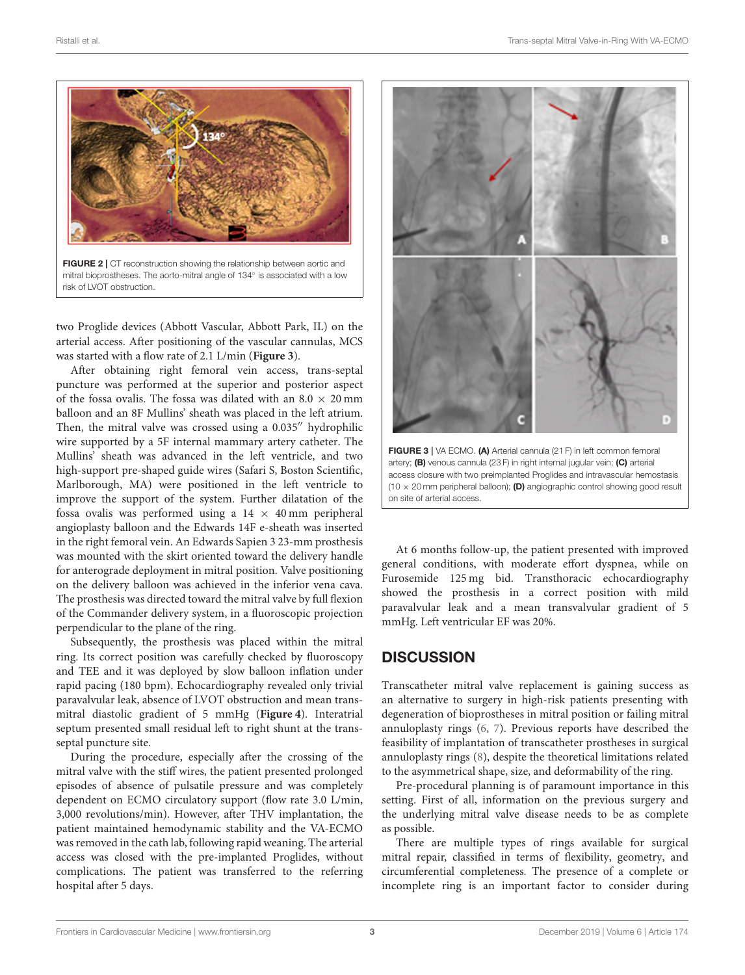

<span id="page-2-0"></span>FIGURE 2 | CT reconstruction showing the relationship between aortic and mitral bioprostheses. The aorto-mitral angle of 134◦ is associated with a low risk of LVOT obstruction.

two Proglide devices (Abbott Vascular, Abbott Park, IL) on the arterial access. After positioning of the vascular cannulas, MCS was started with a flow rate of 2.1 L/min (**[Figure 3](#page-2-1)**).

After obtaining right femoral vein access, trans-septal puncture was performed at the superior and posterior aspect of the fossa ovalis. The fossa was dilated with an  $8.0 \times 20 \text{ mm}$ balloon and an 8F Mullins' sheath was placed in the left atrium. Then, the mitral valve was crossed using a 0.035′′ hydrophilic wire supported by a 5F internal mammary artery catheter. The Mullins' sheath was advanced in the left ventricle, and two high-support pre-shaped guide wires (Safari S, Boston Scientific, Marlborough, MA) were positioned in the left ventricle to improve the support of the system. Further dilatation of the fossa ovalis was performed using a  $14 \times 40$  mm peripheral angioplasty balloon and the Edwards 14F e-sheath was inserted in the right femoral vein. An Edwards Sapien 3 23-mm prosthesis was mounted with the skirt oriented toward the delivery handle for anterograde deployment in mitral position. Valve positioning on the delivery balloon was achieved in the inferior vena cava. The prosthesis was directed toward the mitral valve by full flexion of the Commander delivery system, in a fluoroscopic projection perpendicular to the plane of the ring.

Subsequently, the prosthesis was placed within the mitral ring. Its correct position was carefully checked by fluoroscopy and TEE and it was deployed by slow balloon inflation under rapid pacing (180 bpm). Echocardiography revealed only trivial paravalvular leak, absence of LVOT obstruction and mean transmitral diastolic gradient of 5 mmHg (**[Figure 4](#page-3-0)**). Interatrial septum presented small residual left to right shunt at the transseptal puncture site.

During the procedure, especially after the crossing of the mitral valve with the stiff wires, the patient presented prolonged episodes of absence of pulsatile pressure and was completely dependent on ECMO circulatory support (flow rate 3.0 L/min, 3,000 revolutions/min). However, after THV implantation, the patient maintained hemodynamic stability and the VA-ECMO was removed in the cath lab, following rapid weaning. The arterial access was closed with the pre-implanted Proglides, without complications. The patient was transferred to the referring hospital after 5 days.



<span id="page-2-1"></span>access closure with two preimplanted Proglides and intravascular hemostasis (10  $\times$  20 mm peripheral balloon); (D) angiographic control showing good result on site of arterial access.

At 6 months follow-up, the patient presented with improved general conditions, with moderate effort dyspnea, while on Furosemide 125 mg bid. Transthoracic echocardiography showed the prosthesis in a correct position with mild paravalvular leak and a mean transvalvular gradient of 5 mmHg. Left ventricular EF was 20%.

### **DISCUSSION**

Transcatheter mitral valve replacement is gaining success as an alternative to surgery in high-risk patients presenting with degeneration of bioprostheses in mitral position or failing mitral annuloplasty rings [\(6,](#page-4-5) [7\)](#page-4-6). Previous reports have described the feasibility of implantation of transcatheter prostheses in surgical annuloplasty rings [\(8\)](#page-4-7), despite the theoretical limitations related to the asymmetrical shape, size, and deformability of the ring.

Pre-procedural planning is of paramount importance in this setting. First of all, information on the previous surgery and the underlying mitral valve disease needs to be as complete as possible.

There are multiple types of rings available for surgical mitral repair, classified in terms of flexibility, geometry, and circumferential completeness. The presence of a complete or incomplete ring is an important factor to consider during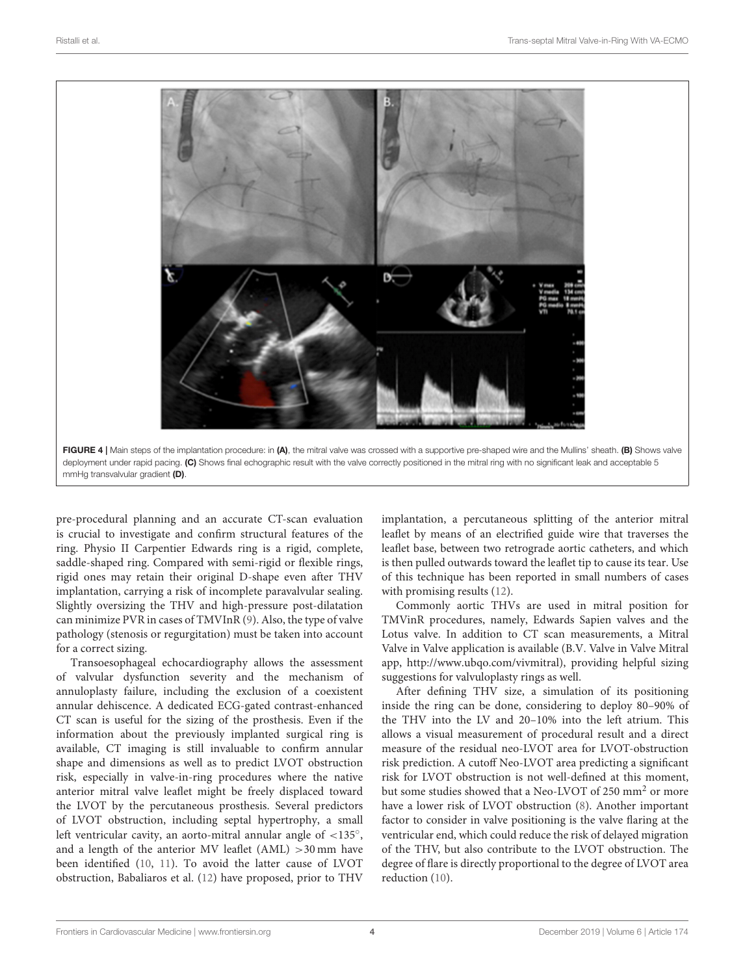

<span id="page-3-0"></span>pre-procedural planning and an accurate CT-scan evaluation is crucial to investigate and confirm structural features of the ring. Physio II Carpentier Edwards ring is a rigid, complete, saddle-shaped ring. Compared with semi-rigid or flexible rings, rigid ones may retain their original D-shape even after THV implantation, carrying a risk of incomplete paravalvular sealing. Slightly oversizing the THV and high-pressure post-dilatation can minimize PVR in cases of TMVInR [\(9\)](#page-4-8). Also, the type of valve pathology (stenosis or regurgitation) must be taken into account for a correct sizing.

Transoesophageal echocardiography allows the assessment of valvular dysfunction severity and the mechanism of annuloplasty failure, including the exclusion of a coexistent annular dehiscence. A dedicated ECG-gated contrast-enhanced CT scan is useful for the sizing of the prosthesis. Even if the information about the previously implanted surgical ring is available, CT imaging is still invaluable to confirm annular shape and dimensions as well as to predict LVOT obstruction risk, especially in valve-in-ring procedures where the native anterior mitral valve leaflet might be freely displaced toward the LVOT by the percutaneous prosthesis. Several predictors of LVOT obstruction, including septal hypertrophy, a small left ventricular cavity, an aorto-mitral annular angle of <135°, and a length of the anterior MV leaflet  $(AML) > 30$  mm have been identified [\(10,](#page-4-9) [11\)](#page-4-10). To avoid the latter cause of LVOT obstruction, Babaliaros et al. [\(12\)](#page-4-11) have proposed, prior to THV

implantation, a percutaneous splitting of the anterior mitral leaflet by means of an electrified guide wire that traverses the leaflet base, between two retrograde aortic catheters, and which is then pulled outwards toward the leaflet tip to cause its tear. Use of this technique has been reported in small numbers of cases with promising results [\(12\)](#page-4-11).

Commonly aortic THVs are used in mitral position for TMVinR procedures, namely, Edwards Sapien valves and the Lotus valve. In addition to CT scan measurements, a Mitral Valve in Valve application is available (B.V. Valve in Valve Mitral app, [http://www.ubqo.com/vivmitral\)](http://www.ubqo.com/vivmitral), providing helpful sizing suggestions for valvuloplasty rings as well.

After defining THV size, a simulation of its positioning inside the ring can be done, considering to deploy 80–90% of the THV into the LV and 20–10% into the left atrium. This allows a visual measurement of procedural result and a direct measure of the residual neo-LVOT area for LVOT-obstruction risk prediction. A cutoff Neo-LVOT area predicting a significant risk for LVOT obstruction is not well-defined at this moment, but some studies showed that a Neo-LVOT of 250 mm<sup>2</sup> or more have a lower risk of LVOT obstruction [\(8\)](#page-4-7). Another important factor to consider in valve positioning is the valve flaring at the ventricular end, which could reduce the risk of delayed migration of the THV, but also contribute to the LVOT obstruction. The degree of flare is directly proportional to the degree of LVOT area reduction [\(10\)](#page-4-9).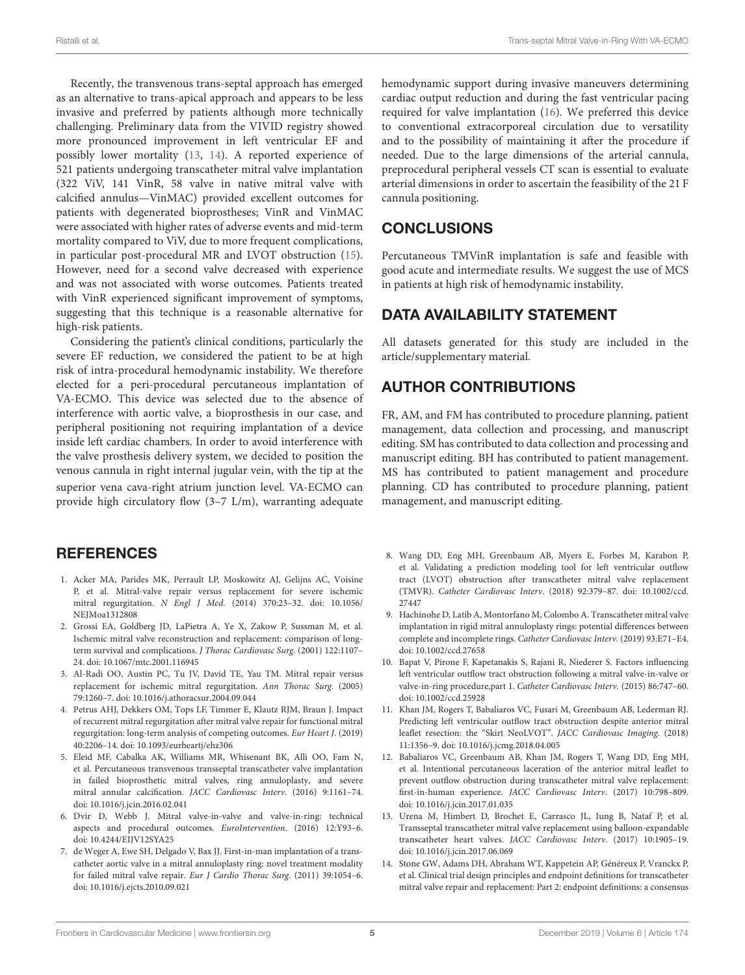Recently, the transvenous trans-septal approach has emerged as an alternative to trans-apical approach and appears to be less invasive and preferred by patients although more technically challenging. Preliminary data from the VIVID registry showed more pronounced improvement in left ventricular EF and possibly lower mortality [\(13,](#page-4-12) [14\)](#page-4-13). A reported experience of 521 patients undergoing transcatheter mitral valve implantation (322 ViV, 141 VinR, 58 valve in native mitral valve with calcified annulus—VinMAC) provided excellent outcomes for patients with degenerated bioprostheses; VinR and VinMAC were associated with higher rates of adverse events and mid-term mortality compared to ViV, due to more frequent complications, in particular post-procedural MR and LVOT obstruction [\(15\)](#page-5-0). However, need for a second valve decreased with experience and was not associated with worse outcomes. Patients treated with VinR experienced significant improvement of symptoms, suggesting that this technique is a reasonable alternative for high-risk patients.

Considering the patient's clinical conditions, particularly the severe EF reduction, we considered the patient to be at high risk of intra-procedural hemodynamic instability. We therefore elected for a peri-procedural percutaneous implantation of VA-ECMO. This device was selected due to the absence of interference with aortic valve, a bioprosthesis in our case, and peripheral positioning not requiring implantation of a device inside left cardiac chambers. In order to avoid interference with the valve prosthesis delivery system, we decided to position the venous cannula in right internal jugular vein, with the tip at the superior vena cava-right atrium junction level. VA-ECMO can provide high circulatory flow (3–7 L/m), warranting adequate

# **REFERENCES**

- <span id="page-4-0"></span>1. Acker MA, Parides MK, Perrault LP, Moskowitz AJ, Gelijns AC, Voisine P, et al. Mitral-valve repair versus replacement for severe ischemic mitral regurgitation. N Engl J Med[. \(2014\) 370:23–32. doi: 10.1056/](https://doi.org/10.1056/NEJMoa1312808) NEJMoa1312808
- <span id="page-4-1"></span>2. Grossi EA, Goldberg JD, LaPietra A, Ye X, Zakow P, Sussman M, et al. Ischemic mitral valve reconstruction and replacement: comparison of longterm survival and complications. J Thorac Cardiovasc Surg. (2001) 122:1107– 24. doi: [10.1067/mtc.2001.116945](https://doi.org/10.1067/mtc.2001.116945)
- <span id="page-4-2"></span>3. Al-Radi OO, Austin PC, Tu JV, David TE, Yau TM. Mitral repair versus replacement for ischemic mitral regurgitation. Ann Thorac Surg. (2005) 79:1260–7. doi: [10.1016/j.athoracsur.2004.09.044](https://doi.org/10.1016/j.athoracsur.2004.09.044)
- <span id="page-4-3"></span>4. Petrus AHJ, Dekkers OM, Tops LF, Timmer E, Klautz RJM, Braun J. Impact of recurrent mitral regurgitation after mitral valve repair for functional mitral regurgitation: long-term analysis of competing outcomes. Eur Heart J. (2019) 40:2206–14. doi: [10.1093/eurheartj/ehz306](https://doi.org/10.1093/eurheartj/ehz306)
- <span id="page-4-4"></span>5. Eleid MF, Cabalka AK, Williams MR, Whisenant BK, Alli OO, Fam N, et al. Percutaneous transvenous transseptal transcatheter valve implantation in failed bioprosthetic mitral valves, ring annuloplasty, and severe mitral annular calcification. JACC Cardiovasc Interv. (2016) 9:1161–74. doi: [10.1016/j.jcin.2016.02.041](https://doi.org/10.1016/j.jcin.2016.02.041)
- <span id="page-4-5"></span>6. Dvir D, Webb J. Mitral valve-in-valve and valve-in-ring: technical aspects and procedural outcomes. EuroIntervention. (2016) 12:Y93–6. doi: [10.4244/EIJV12SYA25](https://doi.org/10.4244/EIJV12SYA25)
- <span id="page-4-6"></span>7. de Weger A, Ewe SH, Delgado V, Bax JJ. First-in-man implantation of a transcatheter aortic valve in a mitral annuloplasty ring: novel treatment modality for failed mitral valve repair. Eur J Cardio Thorac Surg. (2011) 39:1054–6. doi: [10.1016/j.ejcts.2010.09.021](https://doi.org/10.1016/j.ejcts.2010.09.021)

hemodynamic support during invasive maneuvers determining cardiac output reduction and during the fast ventricular pacing required for valve implantation [\(16\)](#page-5-1). We preferred this device to conventional extracorporeal circulation due to versatility and to the possibility of maintaining it after the procedure if needed. Due to the large dimensions of the arterial cannula, preprocedural peripheral vessels CT scan is essential to evaluate arterial dimensions in order to ascertain the feasibility of the 21 F cannula positioning.

# **CONCLUSIONS**

Percutaneous TMVinR implantation is safe and feasible with good acute and intermediate results. We suggest the use of MCS in patients at high risk of hemodynamic instability.

# DATA AVAILABILITY STATEMENT

All datasets generated for this study are included in the article/supplementary material.

# AUTHOR CONTRIBUTIONS

FR, AM, and FM has contributed to procedure planning, patient management, data collection and processing, and manuscript editing. SM has contributed to data collection and processing and manuscript editing. BH has contributed to patient management. MS has contributed to patient management and procedure planning. CD has contributed to procedure planning, patient management, and manuscript editing.

- <span id="page-4-7"></span>8. Wang DD, Eng MH, Greenbaum AB, Myers E, Forbes M, Karabon P, et al. Validating a prediction modeling tool for left ventricular outflow tract (LVOT) obstruction after transcatheter mitral valve replacement (TMVR). Catheter Cardiovasc Interv. [\(2018\) 92:379–87. doi: 10.1002/ccd.](https://doi.org/10.1002/ccd.27447) 27447
- <span id="page-4-8"></span>9. Hachinohe D, Latib A, Montorfano M, Colombo A. Transcatheter mitral valve implantation in rigid mitral annuloplasty rings: potential differences between complete and incomplete rings. Catheter Cardiovasc Interv. (2019) 93:E71–E4. doi: [10.1002/ccd.27658](https://doi.org/10.1002/ccd.27658)
- <span id="page-4-9"></span>10. Bapat V, Pirone F, Kapetanakis S, Rajani R, Niederer S. Factors influencing left ventricular outflow tract obstruction following a mitral valve-in-valve or valve-in-ring procedure,part 1. Catheter Cardiovasc Interv. (2015) 86:747–60. doi: [10.1002/ccd.25928](https://doi.org/10.1002/ccd.25928)
- <span id="page-4-10"></span>11. Khan JM, Rogers T, Babaliaros VC, Fusari M, Greenbaum AB, Lederman RJ. Predicting left ventricular outflow tract obstruction despite anterior mitral leaflet resection: the "Skirt NeoLVOT". JACC Cardiovasc Imaging. (2018) 11:1356–9. doi: [10.1016/j.jcmg.2018.04.005](https://doi.org/10.1016/j.jcmg.2018.04.005)
- <span id="page-4-11"></span>12. Babaliaros VC, Greenbaum AB, Khan JM, Rogers T, Wang DD, Eng MH, et al. Intentional percutaneous laceration of the anterior mitral leaflet to prevent outflow obstruction during transcatheter mitral valve replacement: first-in-human experience. JACC Cardiovasc Interv. (2017) 10:798–809. doi: [10.1016/j.jcin.2017.01.035](https://doi.org/10.1016/j.jcin.2017.01.035)
- <span id="page-4-12"></span>13. Urena M, Himbert D, Brochet E, Carrasco JL, Iung B, Nataf P, et al. Transseptal transcatheter mitral valve replacement using balloon-expandable transcatheter heart valves. JACC Cardiovasc Interv. (2017) 10:1905–19. doi: [10.1016/j.jcin.2017.06.069](https://doi.org/10.1016/j.jcin.2017.06.069)
- <span id="page-4-13"></span>14. Stone GW, Adams DH, Abraham WT, Kappetein AP, Généreux P, Vranckx P, et al. Clinical trial design principles and endpoint definitions for transcatheter mitral valve repair and replacement: Part 2: endpoint definitions: a consensus